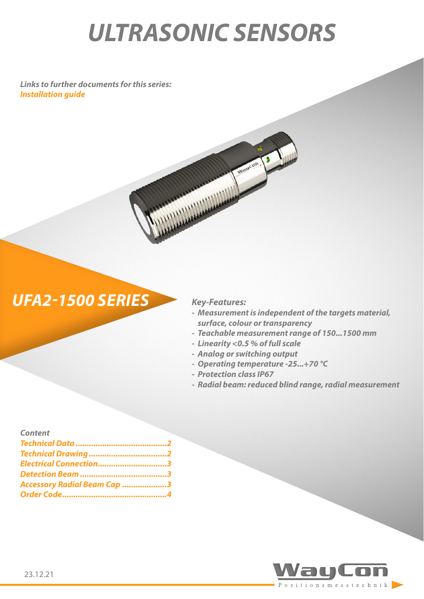# *ULTRASONIC SENSORS*

*Links to further documents for this series: [Installation guide](https://www.waycon.de/fileadmin/ultrasonic-sensors/Ultrasonic-Sensor-UFA2-Installation-Guide.pdf)*



AND MALLAGE

- *- Measurement is independent of the targets material, surface, colour or transparency*
- *- Teachable measurement range of 150...1500 mm*
- *- Linearity <0.5 % of full scale*

Julaucon .

- *- Analog or switching output*
- *- Operating temperature -25...+70 °C*
- *- Protection class IP67*
- *- Radial beam: reduced blind range, radial measurement*

| <b>Content</b>                     |  |
|------------------------------------|--|
|                                    |  |
|                                    |  |
| Electrical Connection3             |  |
|                                    |  |
| <b>Accessory Radial Beam Cap 3</b> |  |
|                                    |  |

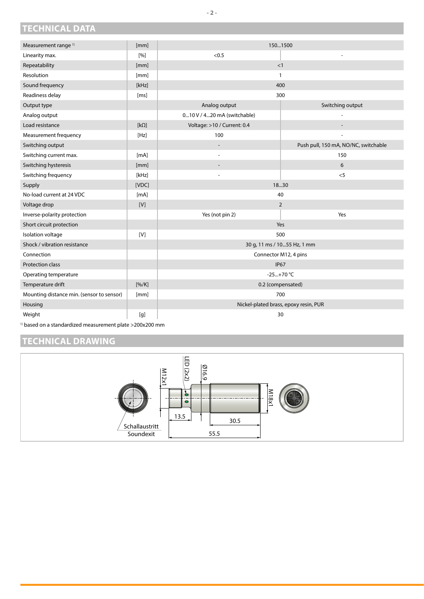### <span id="page-1-0"></span>**TECHNICAL DATA**

| Measurement range <sup>1)</sup>           | [mm]        | 1501500                               |                                      |  |
|-------------------------------------------|-------------|---------------------------------------|--------------------------------------|--|
| Linearity max.                            | [%]         | < 0.5                                 |                                      |  |
| Repeatability                             | [mm]        | <1                                    |                                      |  |
| Resolution                                | [mm]        | $\mathbf{1}$                          |                                      |  |
| Sound frequency                           | [kHz]       | 400                                   |                                      |  |
| Readiness delay                           | [ms]        | 300                                   |                                      |  |
| Output type                               |             | Analog output                         | Switching output                     |  |
| Analog output                             |             | 010 V / 420 mA (switchable)           |                                      |  |
| Load resistance                           | $[k\Omega]$ | Voltage: >10 / Current: 0.4           |                                      |  |
| Measurement frequency                     | [Hz]        | 100                                   |                                      |  |
| Switching output                          |             |                                       | Push pull, 150 mA, NO/NC, switchable |  |
| Switching current max.                    | [mA]        |                                       | 150                                  |  |
| Switching hysteresis                      | [mm]        |                                       | 6                                    |  |
| Switching frequency                       | [kHz]       |                                       | $<$ 5                                |  |
| Supply                                    | [VDC]       | 18.30                                 |                                      |  |
| No-load current at 24 VDC                 | [mA]        | 40                                    |                                      |  |
| Voltage drop                              | [V]         | $\overline{2}$                        |                                      |  |
| Inverse-polarity protection               |             | Yes (not pin 2)                       | Yes                                  |  |
| Short circuit protection                  |             | Yes                                   |                                      |  |
| Isolation voltage                         | [V]         | 500                                   |                                      |  |
| Shock / vibration resistance              |             | 30 g, 11 ms / 1055 Hz, 1 mm           |                                      |  |
| Connection                                |             | Connector M12, 4 pins                 |                                      |  |
| <b>Protection class</b>                   |             | <b>IP67</b>                           |                                      |  |
| Operating temperature                     |             | $-25+70 °C$                           |                                      |  |
| Temperature drift                         | [% / K]     | 0.2 (compensated)                     |                                      |  |
| Mounting distance min. (sensor to sensor) | [mm]        | 700                                   |                                      |  |
| Housing                                   |             | Nickel-plated brass, epoxy resin, PUR |                                      |  |
| Weight                                    | [g]         | 30                                    |                                      |  |

1) based on a standardized measurement plate >200x200 mm

#### **TECHNICAL DRAWING**

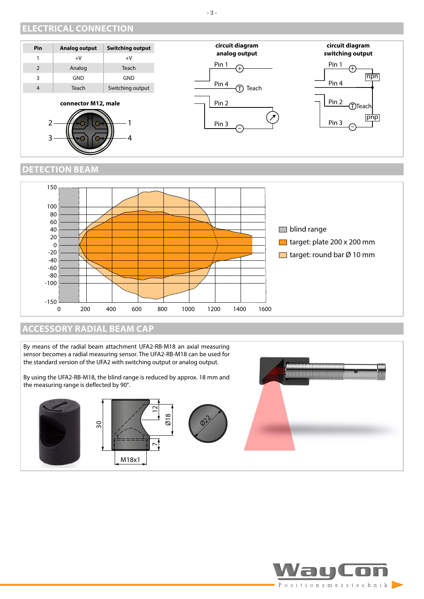#### <span id="page-2-0"></span>**ELECTRICAL CONNECTION**



#### **DETECTION BEAM**



#### **ACCESSORY RADIAL BEAM CAP**

By means of the radial beam attachment UFA2-RB-M18 an axial measuring sensor becomes a radial measuring sensor. The UFA2-RB-M18 can be used for the standard version of the UFA2 with switching output or analog output.

By using the UFA2-RB-M18, the blind range is reduced by approx. 18 mm and the measuring range is deflected by 90°.